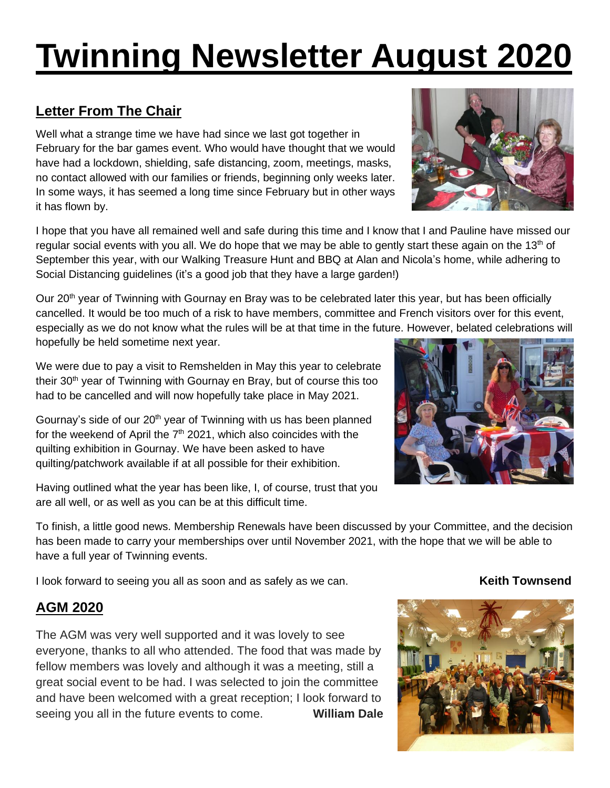# **Twinning Newsletter August 2020**

# **Letter From The Chair**

Well what a strange time we have had since we last got together in February for the bar games event. Who would have thought that we would have had a lockdown, shielding, safe distancing, zoom, meetings, masks, no contact allowed with our families or friends, beginning only weeks later. In some ways, it has seemed a long time since February but in other ways it has flown by.

I hope that you have all remained well and safe during this time and I know that I and Pauline have missed our regular social events with you all. We do hope that we may be able to gently start these again on the 13<sup>th</sup> of September this year, with our Walking Treasure Hunt and BBQ at Alan and Nicola's home, while adhering to Social Distancing guidelines (it's a good job that they have a large garden!)

Our 20<sup>th</sup> year of Twinning with Gournay en Bray was to be celebrated later this year, but has been officially cancelled. It would be too much of a risk to have members, committee and French visitors over for this event, especially as we do not know what the rules will be at that time in the future. However, belated celebrations will hopefully be held sometime next year.

We were due to pay a visit to Remshelden in May this year to celebrate their 30<sup>th</sup> year of Twinning with Gournay en Bray, but of course this too had to be cancelled and will now hopefully take place in May 2021.

Gournay's side of our  $20<sup>th</sup>$  year of Twinning with us has been planned for the weekend of April the  $7<sup>th</sup>$  2021, which also coincides with the quilting exhibition in Gournay. We have been asked to have quilting/patchwork available if at all possible for their exhibition.

Having outlined what the year has been like, I, of course, trust that you are all well, or as well as you can be at this difficult time.

To finish, a little good news. Membership Renewals have been discussed by your Committee, and the decision has been made to carry your memberships over until November 2021, with the hope that we will be able to have a full year of Twinning events.

I look forward to seeing you all as soon and as safely as we can. **Keith Townsend** 

# **AGM 2020**

The AGM was very well supported and it was lovely to see everyone, thanks to all who attended. The food that was made by fellow members was lovely and although it was a meeting, still a great social event to be had. I was selected to join the committee and have been welcomed with a great reception; I look forward to seeing you all in the future events to come. **William Dale**







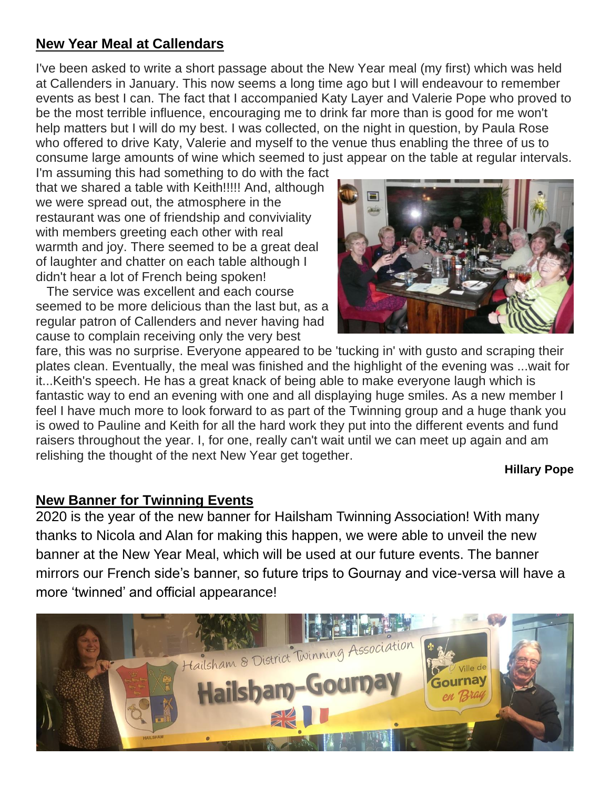# **New Year Meal at Callendars**

I've been asked to write a short passage about the New Year meal (my first) which was held at Callenders in January. This now seems a long time ago but I will endeavour to remember events as best I can. The fact that I accompanied Katy Layer and Valerie Pope who proved to be the most terrible influence, encouraging me to drink far more than is good for me won't help matters but I will do my best. I was collected, on the night in question, by Paula Rose who offered to drive Katy, Valerie and myself to the venue thus enabling the three of us to consume large amounts of wine which seemed to just appear on the table at regular intervals.

I'm assuming this had something to do with the fact that we shared a table with Keith!!!!! And, although we were spread out, the atmosphere in the restaurant was one of friendship and conviviality with members greeting each other with real warmth and joy. There seemed to be a great deal of laughter and chatter on each table although I didn't hear a lot of French being spoken!

 The service was excellent and each course seemed to be more delicious than the last but, as a regular patron of Callenders and never having had cause to complain receiving only the very best



fare, this was no surprise. Everyone appeared to be 'tucking in' with gusto and scraping their plates clean. Eventually, the meal was finished and the highlight of the evening was ...wait for it...Keith's speech. He has a great knack of being able to make everyone laugh which is fantastic way to end an evening with one and all displaying huge smiles. As a new member I feel I have much more to look forward to as part of the Twinning group and a huge thank you is owed to Pauline and Keith for all the hard work they put into the different events and fund raisers throughout the year. I, for one, really can't wait until we can meet up again and am relishing the thought of the next New Year get together.

**Hillary Pope**

#### **New Banner for Twinning Events**

2020 is the year of the new banner for Hailsham Twinning Association! With many thanks to Nicola and Alan for making this happen, we were able to unveil the new banner at the New Year Meal, which will be used at our future events. The banner mirrors our French side's banner, so future trips to Gournay and vice-versa will have a more 'twinned' and official appearance!

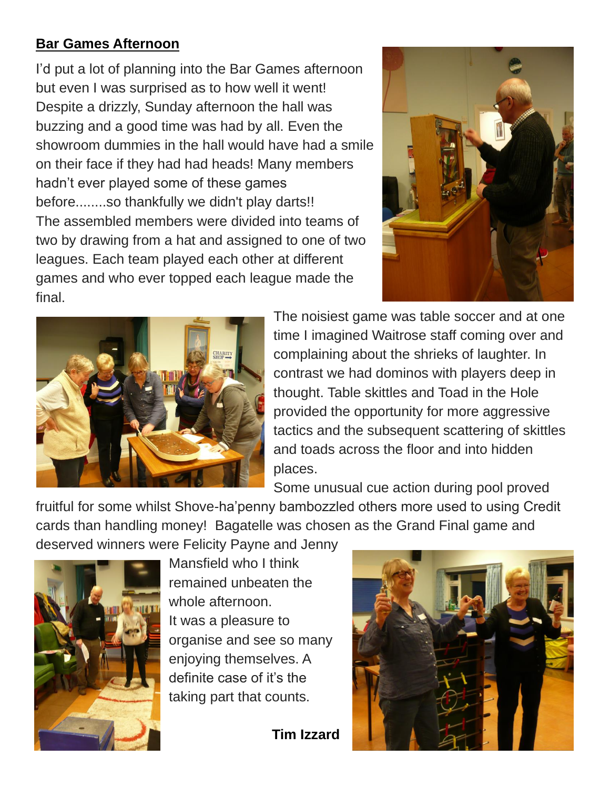# **Bar Games Afternoon**

I'd put a lot of planning into the Bar Games afternoon but even I was surprised as to how well it went! Despite a drizzly, Sunday afternoon the hall was buzzing and a good time was had by all. Even the showroom dummies in the hall would have had a smile on their face if they had had heads! Many members hadn't ever played some of these games before........so thankfully we didn't play darts!! The assembled members were divided into teams of two by drawing from a hat and assigned to one of two leagues. Each team played each other at different games and who ever topped each league made the final.





The noisiest game was table soccer and at one time I imagined Waitrose staff coming over and complaining about the shrieks of laughter. In contrast we had dominos with players deep in thought. Table skittles and Toad in the Hole provided the opportunity for more aggressive tactics and the subsequent scattering of skittles and toads across the floor and into hidden places.

Some unusual cue action during pool proved

fruitful for some whilst Shove-ha'penny bambozzled others more used to using Credit cards than handling money! Bagatelle was chosen as the Grand Final game and

deserved winners were Felicity Payne and Jenny



Mansfield who I think remained unbeaten the whole afternoon. It was a pleasure to organise and see so many enjoying themselves. A definite case of it's the taking part that counts.

 **Tim Izzard**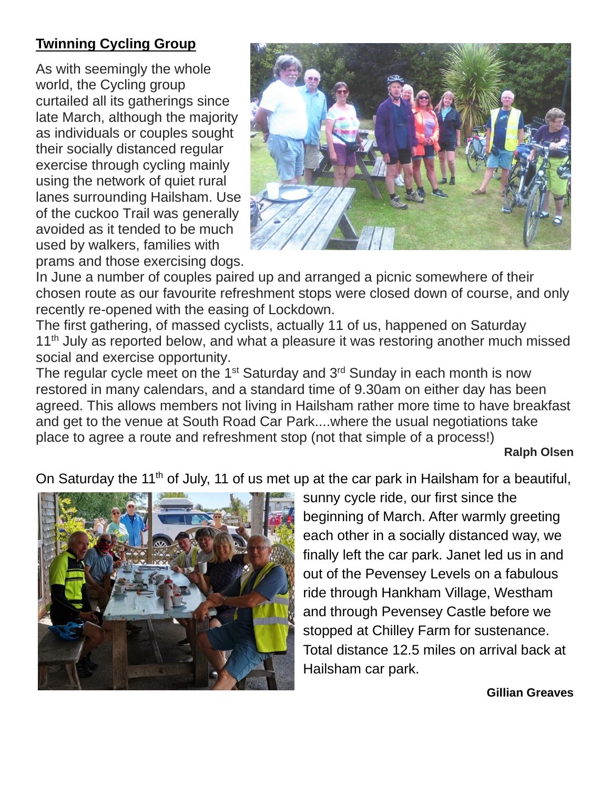# **Twinning Cycling Group**

As with seemingly the whole world, the Cycling group curtailed all its gatherings since late March, although the majority as individuals or couples sought their socially distanced regular exercise through cycling mainly using the network of quiet rural lanes surrounding Hailsham. Use of the cuckoo Trail was generally avoided as it tended to be much used by walkers, families with prams and those exercising dogs.



In June a number of couples paired up and arranged a picnic somewhere of their chosen route as our favourite refreshment stops were closed down of course, and only recently re-opened with the easing of Lockdown.

The first gathering, of massed cyclists, actually 11 of us, happened on Saturday 11<sup>th</sup> July as reported below, and what a pleasure it was restoring another much missed social and exercise opportunity.

The regular cycle meet on the  $1<sup>st</sup>$  Saturday and  $3<sup>rd</sup>$  Sunday in each month is now restored in many calendars, and a standard time of 9.30am on either day has been agreed. This allows members not living in Hailsham rather more time to have breakfast and get to the venue at South Road Car Park....where the usual negotiations take place to agree a route and refreshment stop (not that simple of a process!)

#### **Ralph Olsen**

On Saturday the 11<sup>th</sup> of July, 11 of us met up at the car park in Hailsham for a beautiful,



sunny cycle ride, our first since the beginning of March. After warmly greeting each other in a socially distanced way, we finally left the car park. Janet led us in and out of the Pevensey Levels on a fabulous ride through Hankham Village, Westham and through Pevensey Castle before we stopped at Chilley Farm for sustenance. Total distance 12.5 miles on arrival back at Hailsham car park.

#### **Gillian Greaves**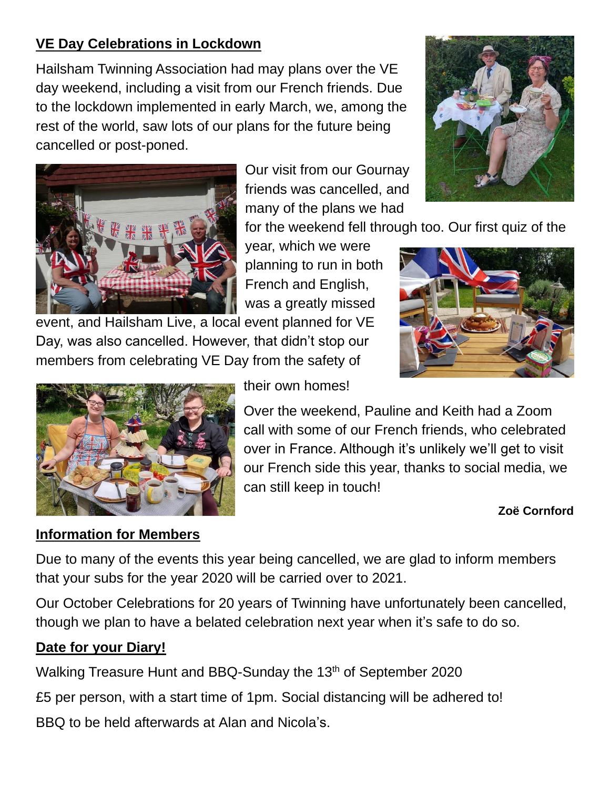# **VE Day Celebrations in Lockdown**

Hailsham Twinning Association had may plans over the VE day weekend, including a visit from our French friends. Due to the lockdown implemented in early March, we, among the rest of the world, saw lots of our plans for the future being cancelled or post-poned.

> Our visit from our Gournay friends was cancelled, and many of the plans we had





for the weekend fell through too. Our first quiz of the

year, which we were planning to run in both French and English, was a greatly missed

event, and Hailsham Live, a local event planned for VE Day, was also cancelled. However, that didn't stop our members from celebrating VE Day from the safety of



their own homes!

Over the weekend, Pauline and Keith had a Zoom call with some of our French friends, who celebrated over in France. Although it's unlikely we'll get to visit our French side this year, thanks to social media, we can still keep in touch!

### **Zoë Cornford**

# **Information for Members**

Due to many of the events this year being cancelled, we are glad to inform members that your subs for the year 2020 will be carried over to 2021.

Our October Celebrations for 20 years of Twinning have unfortunately been cancelled, though we plan to have a belated celebration next year when it's safe to do so.

# **Date for your Diary!**

Walking Treasure Hunt and BBQ-Sunday the 13<sup>th</sup> of September 2020

£5 per person, with a start time of 1pm. Social distancing will be adhered to!

BBQ to be held afterwards at Alan and Nicola's.